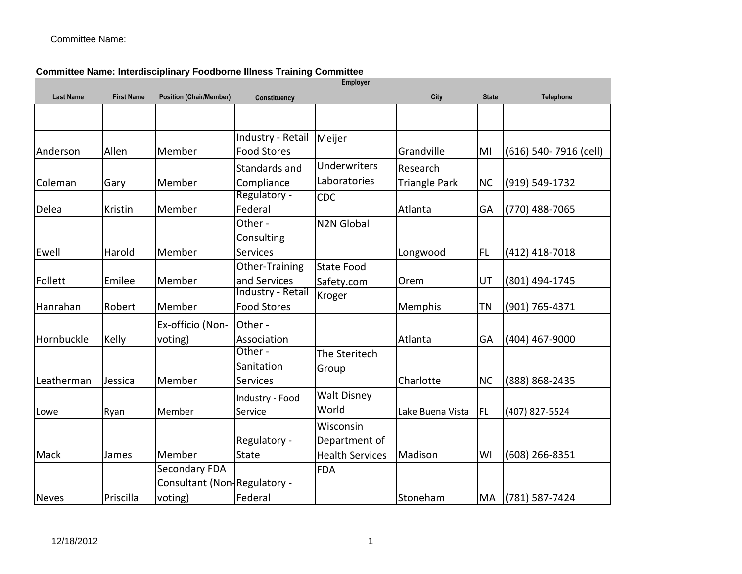Committee Name:

|                  |                   |                                |                    | Employer               |                      |              |                       |
|------------------|-------------------|--------------------------------|--------------------|------------------------|----------------------|--------------|-----------------------|
| <b>Last Name</b> | <b>First Name</b> | <b>Position (Chair/Member)</b> | Constituency       |                        | City                 | <b>State</b> | <b>Telephone</b>      |
|                  |                   |                                |                    |                        |                      |              |                       |
|                  |                   |                                | Industry - Retail  | Meijer                 |                      |              |                       |
| Anderson         | Allen             | Member                         | <b>Food Stores</b> |                        | Grandville           | MI           | (616) 540-7916 (cell) |
|                  |                   |                                | Standards and      | <b>Underwriters</b>    | Research             |              |                       |
| Coleman          | Gary              | Member                         | Compliance         | Laboratories           | <b>Triangle Park</b> | <b>NC</b>    | (919) 549-1732        |
|                  |                   |                                | Regulatory -       | CDC                    |                      |              |                       |
| Delea            | Kristin           | Member                         | Federal            |                        | Atlanta              | GA           | $(770)$ 488-7065      |
|                  |                   |                                | Other -            | <b>N2N Global</b>      |                      |              |                       |
|                  |                   |                                | Consulting         |                        |                      |              |                       |
| Ewell            | Harold            | Member                         | <b>Services</b>    |                        | Longwood             | FL           | $(412)$ 418-7018      |
|                  |                   |                                | Other-Training     | <b>State Food</b>      |                      |              |                       |
| Follett          | Emilee            | Member                         | and Services       | Safety.com             | Orem                 | UT           | (801) 494-1745        |
|                  |                   |                                | Industry - Retail  | Kroger                 |                      |              |                       |
| Hanrahan         | Robert            | Member                         | <b>Food Stores</b> |                        | Memphis              | ΤN           | (901) 765-4371        |
|                  |                   | Ex-officio (Non-               | Other -            |                        |                      |              |                       |
| Hornbuckle       | Kelly             | voting)                        | Association        |                        | Atlanta              | GA           | (404) 467-9000        |
|                  |                   |                                | Other -            | The Steritech          |                      |              |                       |
|                  |                   |                                | Sanitation         | Group                  |                      |              |                       |
| Leatherman       | Jessica           | Member                         | <b>Services</b>    |                        | Charlotte            | <b>NC</b>    | (888) 868-2435        |
|                  |                   |                                | Industry - Food    | <b>Walt Disney</b>     |                      |              |                       |
| Lowe             | Ryan              | Member                         | Service            | World                  | Lake Buena Vista     | <b>FL</b>    | (407) 827-5524        |
|                  |                   |                                |                    | Wisconsin              |                      |              |                       |
|                  |                   |                                | Regulatory -       | Department of          |                      |              |                       |
| Mack             | James             | Member                         | State              | <b>Health Services</b> | Madison              | WI           | $(608)$ 266-8351      |
|                  |                   | Secondary FDA                  |                    | <b>FDA</b>             |                      |              |                       |
|                  |                   | Consultant (Non-Regulatory -   |                    |                        |                      |              |                       |
| <b>Neves</b>     | Priscilla         | voting)                        | Federal            |                        | Stoneham             | MA           | (781) 587-7424        |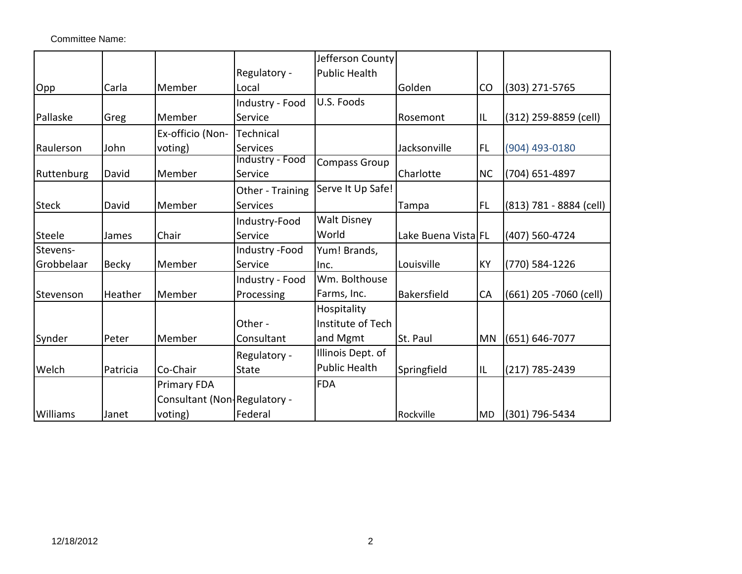Committee Name:

|                 |              |                              |                            | Jefferson County     |                     |           |                         |
|-----------------|--------------|------------------------------|----------------------------|----------------------|---------------------|-----------|-------------------------|
|                 |              |                              | Regulatory -               | <b>Public Health</b> |                     |           |                         |
| Opp             | Carla        | Member                       | Local                      |                      | Golden              | CO        | (303) 271-5765          |
|                 |              |                              | Industry - Food            | U.S. Foods           |                     |           |                         |
| Pallaske        | Greg         | Member                       | Service                    |                      | Rosemont            | IL        | (312) 259-8859 (cell)   |
|                 |              | Ex-officio (Non-             | Technical                  |                      |                     |           |                         |
| Raulerson       | John         | voting)                      | <b>Services</b>            |                      | Jacksonville        | <b>FL</b> | (904) 493-0180          |
| Ruttenburg      | David        | Member                       | Industry - Food<br>Service | <b>Compass Group</b> | Charlotte           | <b>NC</b> | (704) 651-4897          |
|                 |              |                              | Other - Training           | Serve It Up Safe!    |                     |           |                         |
| <b>Steck</b>    | David        | Member                       | <b>Services</b>            |                      | Tampa               | FL        | (813) 781 - 8884 (cell) |
|                 |              |                              | Industry-Food              | <b>Walt Disney</b>   |                     |           |                         |
| Steele          | James        | Chair                        | Service                    | World                | Lake Buena Vista FL |           | (407) 560-4724          |
| Stevens-        |              |                              | Industry -Food             | Yum! Brands,         |                     |           |                         |
| Grobbelaar      | <b>Becky</b> | Member                       | Service                    | Inc.                 | Louisville          | <b>KY</b> | (770) 584-1226          |
|                 |              |                              | Industry - Food            | Wm. Bolthouse        |                     |           |                         |
| Stevenson       | Heather      | Member                       | Processing                 | Farms, Inc.          | Bakersfield         | CA        | (661) 205 -7060 (cell)  |
|                 |              |                              |                            | Hospitality          |                     |           |                         |
|                 |              |                              | Other -                    | Institute of Tech    |                     |           |                         |
| Synder          | Peter        | Member                       | Consultant                 | and Mgmt             | St. Paul            | <b>MN</b> | $(651) 646 - 7077$      |
|                 |              |                              | Regulatory -               | Illinois Dept. of    |                     |           |                         |
| Welch           | Patricia     | Co-Chair                     | <b>State</b>               | <b>Public Health</b> | Springfield         | IL        | $(217)$ 785-2439        |
|                 |              | Primary FDA                  |                            | <b>FDA</b>           |                     |           |                         |
|                 |              | Consultant (Non Regulatory - |                            |                      |                     |           |                         |
| <b>Williams</b> | Janet        | voting)                      | Federal                    |                      | Rockville           | <b>MD</b> | (301) 796-5434          |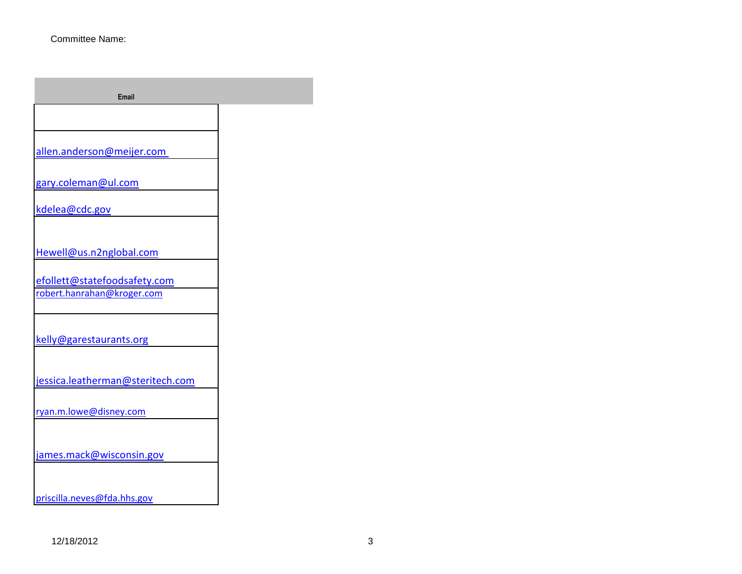| <b>Email</b>                                               |  |
|------------------------------------------------------------|--|
|                                                            |  |
| allen.anderson@meijer.com                                  |  |
| gary.coleman@ul.com                                        |  |
| kdelea@cdc.gov                                             |  |
|                                                            |  |
| Hewell@us.n2nglobal.com                                    |  |
| efollett@statefoodsafety.com<br>robert.hanrahan@kroger.com |  |
|                                                            |  |
| kelly@garestaurants.org                                    |  |
| jessica.leatherman@steritech.com                           |  |
| ryan.m.lowe@disney.com                                     |  |
| james.mack@wisconsin.gov                                   |  |
| priscilla.neves@fda.hhs.gov                                |  |